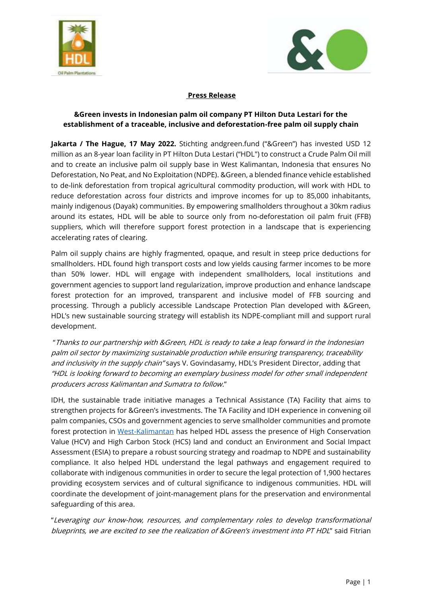



## **Press Release**

### **&Green invests in Indonesian palm oil company PT Hilton Duta Lestari for the establishment of a traceable, inclusive and deforestation-free palm oil supply chain**

**Jakarta / The Hague, 17 May 2022.** Stichting andgreen.fund ("&Green") has invested USD 12 million as an 8-year loan facility in PT Hilton Duta Lestari ("HDL") to construct a Crude Palm Oil mill and to create an inclusive palm oil supply base in West Kalimantan, Indonesia that ensures No Deforestation, No Peat, and No Exploitation (NDPE). &Green, a blended finance vehicle established to de-link deforestation from tropical agricultural commodity production, will work with HDL to reduce deforestation across four districts and improve incomes for up to 85,000 inhabitants, mainly indigenous (Dayak) communities. By empowering smallholders throughout a 30km radius around its estates, HDL will be able to source only from no-deforestation oil palm fruit (FFB) suppliers, which will therefore support forest protection in a landscape that is experiencing accelerating rates of clearing.

Palm oil supply chains are highly fragmented, opaque, and result in steep price deductions for smallholders. HDL found high transport costs and low yields causing farmer incomes to be more than 50% lower. HDL will engage with independent smallholders, local institutions and government agencies to support land regularization, improve production and enhance landscape forest protection for an improved, transparent and inclusive model of FFB sourcing and processing. Through a publicly accessible Landscape Protection Plan developed with &Green, HDL's new sustainable sourcing strategy will establish its NDPE-compliant mill and support rural development.

"Thanks to our partnership with &Green, HDL is ready to take a leap forward in the Indonesian palm oil sector by maximizing sustainable production while ensuring transparency, traceability and inclusivity in the supply chain" says V. Govindasamy, HDL's President Director, adding that "HDL is looking forward to becoming an exemplary business model for other small independent producers across Kalimantan and Sumatra to follow."

IDH, the sustainable trade initiative manages a Technical Assistance (TA) Facility that aims to strengthen projects for &Green's investments. The TA Facility and IDH experience in convening oil palm companies, CSOs and government agencies to serve smallholder communities and promote forest protection in [West-Kalimantan](https://www.idhsustainabletrade.com/landscapes/west-kalimantan/) has helped HDL assess the presence of High Conservation Value (HCV) and High Carbon Stock (HCS) land and conduct an Environment and Social Impact Assessment (ESIA) to prepare a robust sourcing strategy and roadmap to NDPE and sustainability compliance. It also helped HDL understand the legal pathways and engagement required to collaborate with indigenous communities in order to secure the legal protection of 1,900 hectares providing ecosystem services and of cultural significance to indigenous communities. HDL will coordinate the development of joint-management plans for the preservation and environmental safeguarding of this area.

"Leveraging our know-how, resources, and complementary roles to develop transformational blueprints, we are excited to see the realization of &Green's investment into PT HDL" said Fitrian